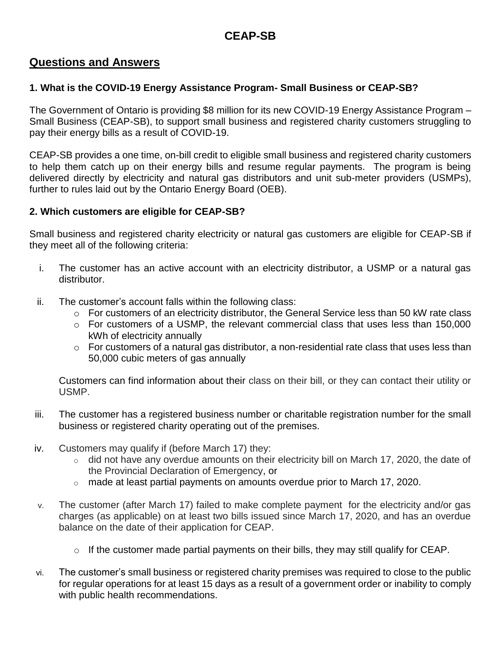# **CEAP-SB**

# **Questions and Answers**

## **1. What is the COVID-19 Energy Assistance Program- Small Business or CEAP-SB?**

The Government of Ontario is providing \$8 million for its new COVID-19 Energy Assistance Program – Small Business (CEAP-SB), to support small business and registered charity customers struggling to pay their energy bills as a result of COVID-19.

CEAP-SB provides a one time, on-bill credit to eligible small business and registered charity customers to help them catch up on their energy bills and resume regular payments. The program is being delivered directly by electricity and natural gas distributors and unit sub-meter providers (USMPs), further to rules laid out by the Ontario Energy Board (OEB).

## **2. Which customers are eligible for CEAP-SB?**

Small business and registered charity electricity or natural gas customers are eligible for CEAP-SB if they meet all of the following criteria:

- i. The customer has an active account with an electricity distributor, a USMP or a natural gas distributor.
- ii. The customer's account falls within the following class:
	- $\circ$  For customers of an electricity distributor, the General Service less than 50 kW rate class
	- o For customers of a USMP, the relevant commercial class that uses less than 150,000 kWh of electricity annually
	- o For customers of a natural gas distributor, a non-residential rate class that uses less than 50,000 cubic meters of gas annually

Customers can find information about their class on their bill, or they can contact their utility or USMP.

- iii. The customer has a registered business number or charitable registration number for the small business or registered charity operating out of the premises.
- iv. Customers may qualify if (before March 17) they:
	- $\circ$  did not have any overdue amounts on their electricity bill on March 17, 2020, the date of the Provincial Declaration of Emergency, or
	- $\circ$  made at least partial payments on amounts overdue prior to March 17, 2020.
- v. The customer (after March 17) failed to make complete payment for the electricity and/or gas charges (as applicable) on at least two bills issued since March 17, 2020, and has an overdue balance on the date of their application for CEAP.
	- $\circ$  If the customer made partial payments on their bills, they may still qualify for CEAP.
- vi. The customer's small business or registered charity premises was required to close to the public for regular operations for at least 15 days as a result of a government order or inability to comply with public health recommendations.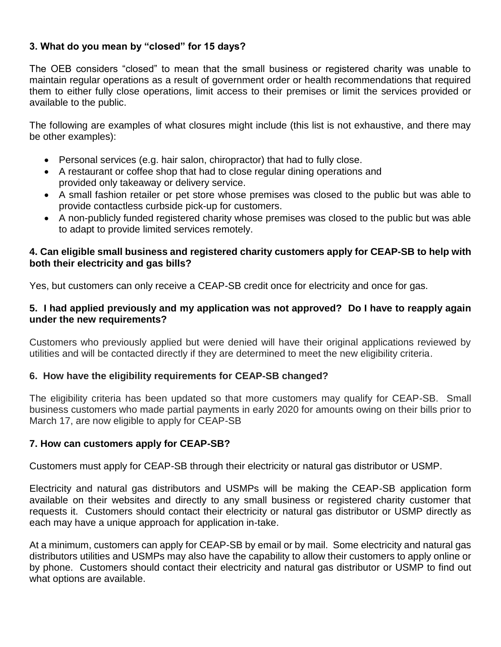# **3. What do you mean by "closed" for 15 days?**

The OEB considers "closed" to mean that the small business or registered charity was unable to maintain regular operations as a result of government order or health recommendations that required them to either fully close operations, limit access to their premises or limit the services provided or available to the public.

The following are examples of what closures might include (this list is not exhaustive, and there may be other examples):

- Personal services (e.g. hair salon, chiropractor) that had to fully close.
- A restaurant or coffee shop that had to close regular dining operations and provided only takeaway or delivery service.
- A small fashion retailer or pet store whose premises was closed to the public but was able to provide contactless curbside pick-up for customers.
- A non-publicly funded registered charity whose premises was closed to the public but was able to adapt to provide limited services remotely.

## **4. Can eligible small business and registered charity customers apply for CEAP-SB to help with both their electricity and gas bills?**

Yes, but customers can only receive a CEAP-SB credit once for electricity and once for gas.

#### **5. I had applied previously and my application was not approved? Do I have to reapply again under the new requirements?**

Customers who previously applied but were denied will have their original applications reviewed by utilities and will be contacted directly if they are determined to meet the new eligibility criteria.

# **6. How have the eligibility requirements for CEAP-SB changed?**

The eligibility criteria has been updated so that more customers may qualify for CEAP-SB. Small business customers who made partial payments in early 2020 for amounts owing on their bills prior to March 17, are now eligible to apply for CEAP-SB

# **7. How can customers apply for CEAP-SB?**

Customers must apply for CEAP-SB through their electricity or natural gas distributor or USMP.

Electricity and natural gas distributors and USMPs will be making the CEAP-SB application form available on their websites and directly to any small business or registered charity customer that requests it. Customers should contact their electricity or natural gas distributor or USMP directly as each may have a unique approach for application in-take.

At a minimum, customers can apply for CEAP-SB by email or by mail. Some electricity and natural gas distributors utilities and USMPs may also have the capability to allow their customers to apply online or by phone. Customers should contact their electricity and natural gas distributor or USMP to find out what options are available.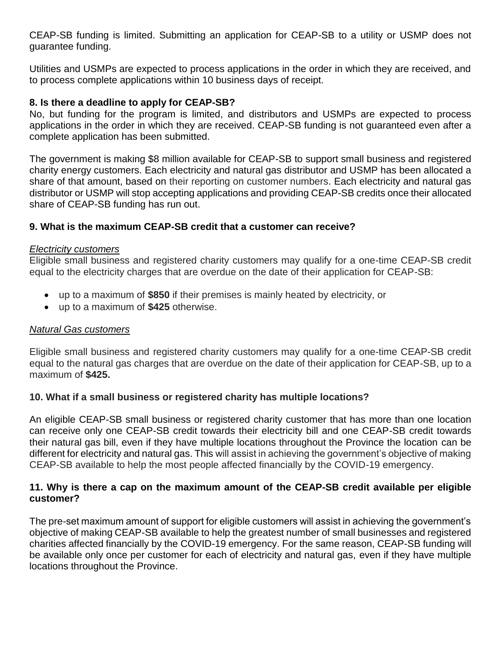CEAP-SB funding is limited. Submitting an application for CEAP-SB to a utility or USMP does not guarantee funding.

Utilities and USMPs are expected to process applications in the order in which they are received, and to process complete applications within 10 business days of receipt.

## **8. Is there a deadline to apply for CEAP-SB?**

No, but funding for the program is limited, and distributors and USMPs are expected to process applications in the order in which they are received. CEAP-SB funding is not guaranteed even after a complete application has been submitted.

The government is making \$8 million available for CEAP-SB to support small business and registered charity energy customers. Each electricity and natural gas distributor and USMP has been allocated a share of that amount, based on their reporting on customer numbers. Each electricity and natural gas distributor or USMP will stop accepting applications and providing CEAP-SB credits once their allocated share of CEAP-SB funding has run out.

## **9. What is the maximum CEAP-SB credit that a customer can receive?**

#### *Electricity customers*

Eligible small business and registered charity customers may qualify for a one-time CEAP-SB credit equal to the electricity charges that are overdue on the date of their application for CEAP-SB:

- up to a maximum of **\$850** if their premises is mainly heated by electricity, or
- up to a maximum of **\$425** otherwise.

#### *Natural Gas customers*

Eligible small business and registered charity customers may qualify for a one-time CEAP-SB credit equal to the natural gas charges that are overdue on the date of their application for CEAP-SB, up to a maximum of **\$425.** 

#### **10. What if a small business or registered charity has multiple locations?**

An eligible CEAP-SB small business or registered charity customer that has more than one location can receive only one CEAP-SB credit towards their electricity bill and one CEAP-SB credit towards their natural gas bill, even if they have multiple locations throughout the Province the location can be different for electricity and natural gas. This will assist in achieving the government's objective of making CEAP-SB available to help the most people affected financially by the COVID-19 emergency.

#### **11. Why is there a cap on the maximum amount of the CEAP-SB credit available per eligible customer?**

The pre-set maximum amount of support for eligible customers will assist in achieving the government's objective of making CEAP-SB available to help the greatest number of small businesses and registered charities affected financially by the COVID-19 emergency. For the same reason, CEAP-SB funding will be available only once per customer for each of electricity and natural gas, even if they have multiple locations throughout the Province.